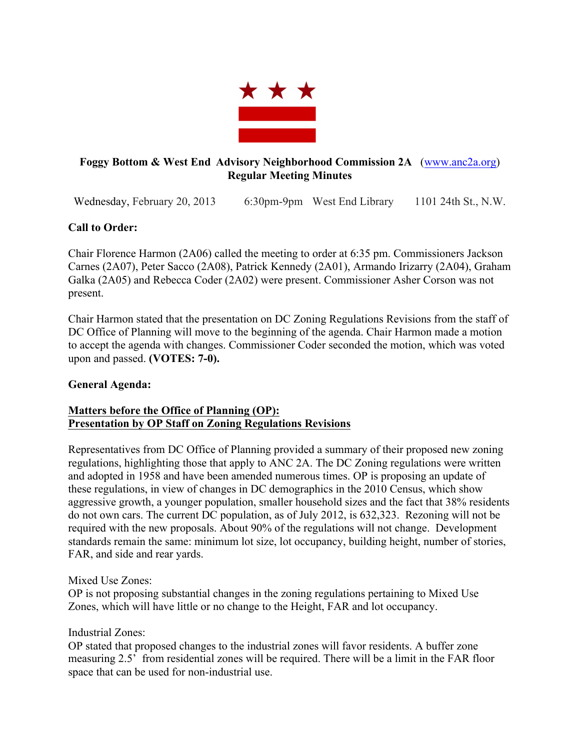

# **Foggy Bottom & West End Advisory Neighborhood Commission 2A** (www.anc2a.org) **Regular Meeting Minutes**

Wednesday, February 20, 2013 6:30pm-9pm West End Library 1101 24th St., N.W.

# **Call to Order:**

Chair Florence Harmon (2A06) called the meeting to order at 6:35 pm. Commissioners Jackson Carnes (2A07), Peter Sacco (2A08), Patrick Kennedy (2A01), Armando Irizarry (2A04), Graham Galka (2A05) and Rebecca Coder (2A02) were present. Commissioner Asher Corson was not present.

Chair Harmon stated that the presentation on DC Zoning Regulations Revisions from the staff of DC Office of Planning will move to the beginning of the agenda. Chair Harmon made a motion to accept the agenda with changes. Commissioner Coder seconded the motion, which was voted upon and passed. **(VOTES: 7-0).**

# **General Agenda:**

## **Matters before the Office of Planning (OP): Presentation by OP Staff on Zoning Regulations Revisions**

Representatives from DC Office of Planning provided a summary of their proposed new zoning regulations, highlighting those that apply to ANC 2A. The DC Zoning regulations were written and adopted in 1958 and have been amended numerous times. OP is proposing an update of these regulations, in view of changes in DC demographics in the 2010 Census, which show aggressive growth, a younger population, smaller household sizes and the fact that 38% residents do not own cars. The current DC population, as of July 2012, is 632,323. Rezoning will not be required with the new proposals. About 90% of the regulations will not change. Development standards remain the same: minimum lot size, lot occupancy, building height, number of stories, FAR, and side and rear yards.

# Mixed Use Zones:

OP is not proposing substantial changes in the zoning regulations pertaining to Mixed Use Zones, which will have little or no change to the Height, FAR and lot occupancy.

# Industrial Zones:

OP stated that proposed changes to the industrial zones will favor residents. A buffer zone measuring 2.5' from residential zones will be required. There will be a limit in the FAR floor space that can be used for non-industrial use.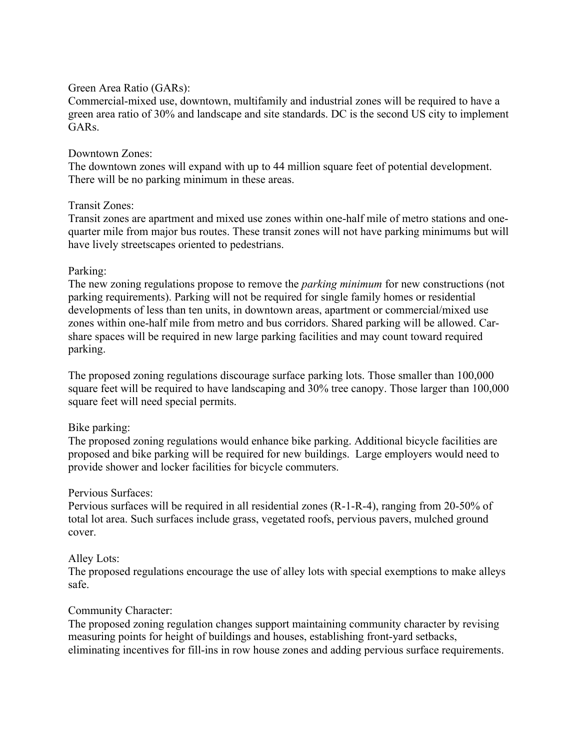### Green Area Ratio (GARs):

Commercial-mixed use, downtown, multifamily and industrial zones will be required to have a green area ratio of 30% and landscape and site standards. DC is the second US city to implement GARs.

### Downtown Zones:

The downtown zones will expand with up to 44 million square feet of potential development. There will be no parking minimum in these areas.

#### Transit Zones:

Transit zones are apartment and mixed use zones within one-half mile of metro stations and onequarter mile from major bus routes. These transit zones will not have parking minimums but will have lively streetscapes oriented to pedestrians.

## Parking:

The new zoning regulations propose to remove the *parking minimum* for new constructions (not parking requirements). Parking will not be required for single family homes or residential developments of less than ten units, in downtown areas, apartment or commercial/mixed use zones within one-half mile from metro and bus corridors. Shared parking will be allowed. Carshare spaces will be required in new large parking facilities and may count toward required parking.

The proposed zoning regulations discourage surface parking lots. Those smaller than 100,000 square feet will be required to have landscaping and 30% tree canopy. Those larger than 100,000 square feet will need special permits.

# Bike parking:

The proposed zoning regulations would enhance bike parking. Additional bicycle facilities are proposed and bike parking will be required for new buildings. Large employers would need to provide shower and locker facilities for bicycle commuters.

#### Pervious Surfaces:

Pervious surfaces will be required in all residential zones (R-1-R-4), ranging from 20-50% of total lot area. Such surfaces include grass, vegetated roofs, pervious pavers, mulched ground cover.

#### Alley Lots:

The proposed regulations encourage the use of alley lots with special exemptions to make alleys safe.

#### Community Character:

The proposed zoning regulation changes support maintaining community character by revising measuring points for height of buildings and houses, establishing front-yard setbacks, eliminating incentives for fill-ins in row house zones and adding pervious surface requirements.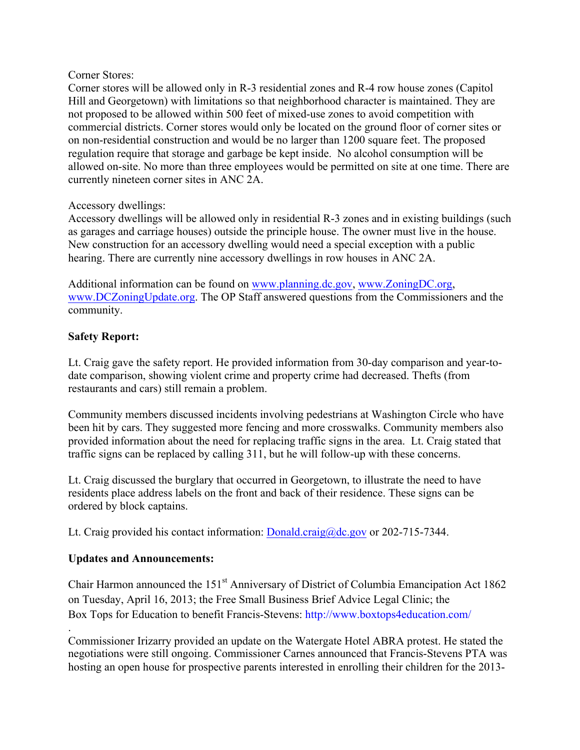## Corner Stores:

Corner stores will be allowed only in R-3 residential zones and R-4 row house zones (Capitol Hill and Georgetown) with limitations so that neighborhood character is maintained. They are not proposed to be allowed within 500 feet of mixed-use zones to avoid competition with commercial districts. Corner stores would only be located on the ground floor of corner sites or on non-residential construction and would be no larger than 1200 square feet. The proposed regulation require that storage and garbage be kept inside. No alcohol consumption will be allowed on-site. No more than three employees would be permitted on site at one time. There are currently nineteen corner sites in ANC 2A.

# Accessory dwellings:

Accessory dwellings will be allowed only in residential R-3 zones and in existing buildings (such as garages and carriage houses) outside the principle house. The owner must live in the house. New construction for an accessory dwelling would need a special exception with a public hearing. There are currently nine accessory dwellings in row houses in ANC 2A.

Additional information can be found on www.planning.dc.gov, www.ZoningDC.org, www.DCZoningUpdate.org. The OP Staff answered questions from the Commissioners and the community.

## **Safety Report:**

Lt. Craig gave the safety report. He provided information from 30-day comparison and year-todate comparison, showing violent crime and property crime had decreased. Thefts (from restaurants and cars) still remain a problem.

Community members discussed incidents involving pedestrians at Washington Circle who have been hit by cars. They suggested more fencing and more crosswalks. Community members also provided information about the need for replacing traffic signs in the area. Lt. Craig stated that traffic signs can be replaced by calling 311, but he will follow-up with these concerns.

Lt. Craig discussed the burglary that occurred in Georgetown, to illustrate the need to have residents place address labels on the front and back of their residence. These signs can be ordered by block captains.

Lt. Craig provided his contact information: Donald.craig@dc.gov or 202-715-7344.

# **Updates and Announcements:**

Chair Harmon announced the 151<sup>st</sup> Anniversary of District of Columbia Emancipation Act 1862 on Tuesday, April 16, 2013; the Free Small Business Brief Advice Legal Clinic; the Box Tops for Education to benefit Francis-Stevens: http://www.boxtops4education.com/

. Commissioner Irizarry provided an update on the Watergate Hotel ABRA protest. He stated the negotiations were still ongoing. Commissioner Carnes announced that Francis-Stevens PTA was hosting an open house for prospective parents interested in enrolling their children for the 2013-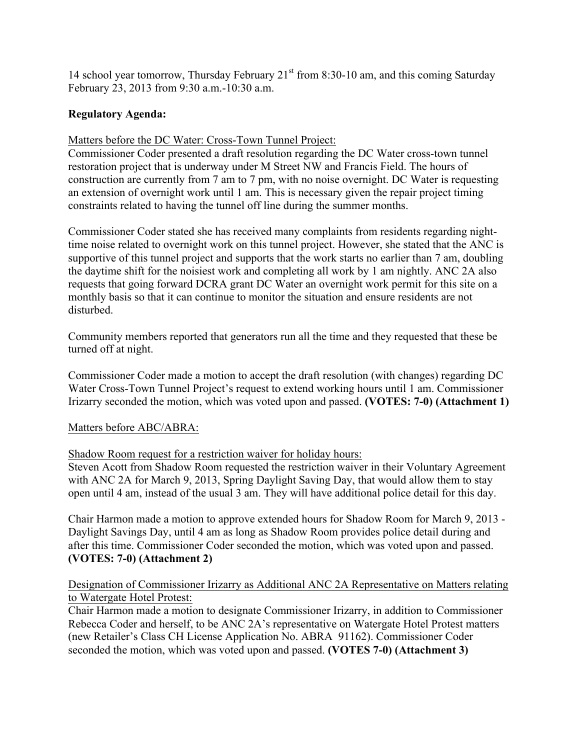14 school year tomorrow, Thursday February  $21<sup>st</sup>$  from 8:30-10 am, and this coming Saturday February 23, 2013 from 9:30 a.m.-10:30 a.m.

## **Regulatory Agenda:**

Matters before the DC Water: Cross-Town Tunnel Project:

Commissioner Coder presented a draft resolution regarding the DC Water cross-town tunnel restoration project that is underway under M Street NW and Francis Field. The hours of construction are currently from 7 am to 7 pm, with no noise overnight. DC Water is requesting an extension of overnight work until 1 am. This is necessary given the repair project timing constraints related to having the tunnel off line during the summer months.

Commissioner Coder stated she has received many complaints from residents regarding nighttime noise related to overnight work on this tunnel project. However, she stated that the ANC is supportive of this tunnel project and supports that the work starts no earlier than 7 am, doubling the daytime shift for the noisiest work and completing all work by 1 am nightly. ANC 2A also requests that going forward DCRA grant DC Water an overnight work permit for this site on a monthly basis so that it can continue to monitor the situation and ensure residents are not disturbed.

Community members reported that generators run all the time and they requested that these be turned off at night.

Commissioner Coder made a motion to accept the draft resolution (with changes) regarding DC Water Cross-Town Tunnel Project's request to extend working hours until 1 am. Commissioner Irizarry seconded the motion, which was voted upon and passed. **(VOTES: 7-0) (Attachment 1)**

#### Matters before ABC/ABRA:

Shadow Room request for a restriction waiver for holiday hours:

Steven Acott from Shadow Room requested the restriction waiver in their Voluntary Agreement with ANC 2A for March 9, 2013, Spring Daylight Saving Day, that would allow them to stay open until 4 am, instead of the usual 3 am. They will have additional police detail for this day.

Chair Harmon made a motion to approve extended hours for Shadow Room for March 9, 2013 - Daylight Savings Day, until 4 am as long as Shadow Room provides police detail during and after this time. Commissioner Coder seconded the motion, which was voted upon and passed. **(VOTES: 7-0) (Attachment 2)**

## Designation of Commissioner Irizarry as Additional ANC 2A Representative on Matters relating to Watergate Hotel Protest:

Chair Harmon made a motion to designate Commissioner Irizarry, in addition to Commissioner Rebecca Coder and herself, to be ANC 2A's representative on Watergate Hotel Protest matters (new Retailer's Class CH License Application No. ABRA 91162). Commissioner Coder seconded the motion, which was voted upon and passed. **(VOTES 7-0) (Attachment 3)**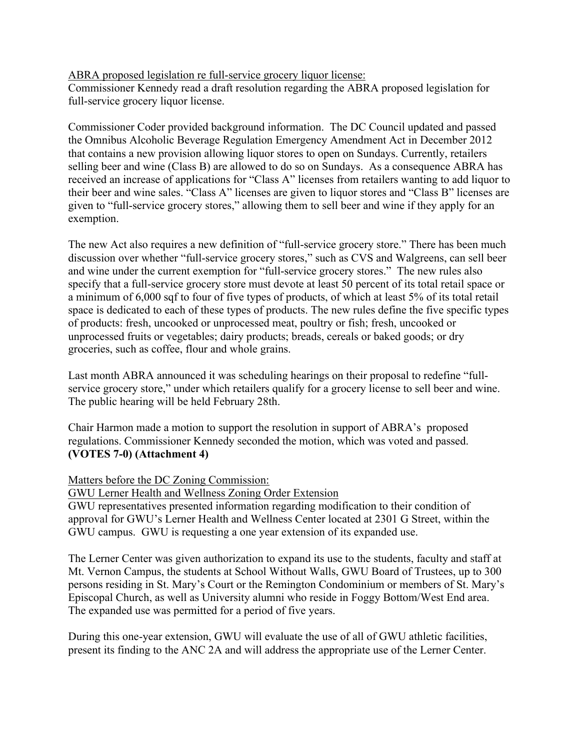ABRA proposed legislation re full-service grocery liquor license:

Commissioner Kennedy read a draft resolution regarding the ABRA proposed legislation for full-service grocery liquor license.

Commissioner Coder provided background information. The DC Council updated and passed the Omnibus Alcoholic Beverage Regulation Emergency Amendment Act in December 2012 that contains a new provision allowing liquor stores to open on Sundays. Currently, retailers selling beer and wine (Class B) are allowed to do so on Sundays. As a consequence ABRA has received an increase of applications for "Class A" licenses from retailers wanting to add liquor to their beer and wine sales. "Class A" licenses are given to liquor stores and "Class B" licenses are given to "full-service grocery stores," allowing them to sell beer and wine if they apply for an exemption.

The new Act also requires a new definition of "full-service grocery store." There has been much discussion over whether "full-service grocery stores," such as CVS and Walgreens, can sell beer and wine under the current exemption for "full-service grocery stores." The new rules also specify that a full-service grocery store must devote at least 50 percent of its total retail space or a minimum of 6,000 sqf to four of five types of products, of which at least 5% of its total retail space is dedicated to each of these types of products. The new rules define the five specific types of products: fresh, uncooked or unprocessed meat, poultry or fish; fresh, uncooked or unprocessed fruits or vegetables; dairy products; breads, cereals or baked goods; or dry groceries, such as coffee, flour and whole grains.

Last month ABRA announced it was scheduling hearings on their proposal to redefine "fullservice grocery store," under which retailers qualify for a grocery license to sell beer and wine. The public hearing will be held February 28th.

Chair Harmon made a motion to support the resolution in support of ABRA's proposed regulations. Commissioner Kennedy seconded the motion, which was voted and passed. **(VOTES 7-0) (Attachment 4)**

Matters before the DC Zoning Commission:

GWU Lerner Health and Wellness Zoning Order Extension

GWU representatives presented information regarding modification to their condition of approval for GWU's Lerner Health and Wellness Center located at 2301 G Street, within the GWU campus. GWU is requesting a one year extension of its expanded use.

The Lerner Center was given authorization to expand its use to the students, faculty and staff at Mt. Vernon Campus, the students at School Without Walls, GWU Board of Trustees, up to 300 persons residing in St. Mary's Court or the Remington Condominium or members of St. Mary's Episcopal Church, as well as University alumni who reside in Foggy Bottom/West End area. The expanded use was permitted for a period of five years.

During this one-year extension, GWU will evaluate the use of all of GWU athletic facilities, present its finding to the ANC 2A and will address the appropriate use of the Lerner Center.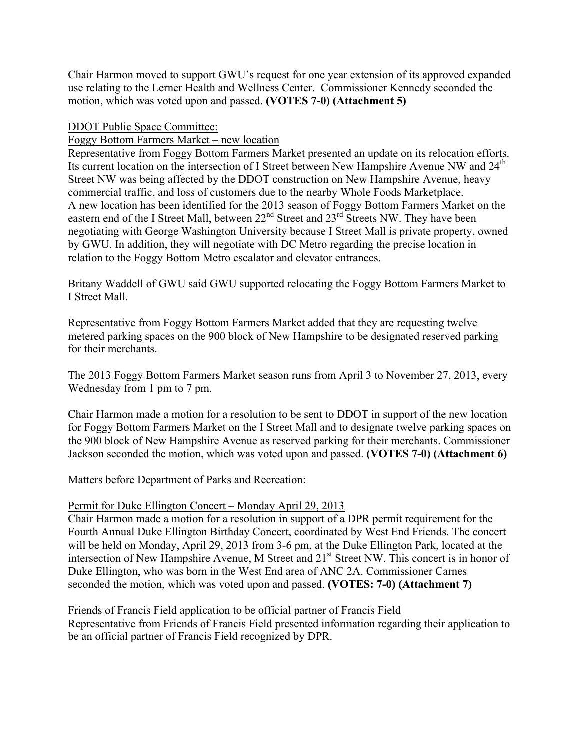Chair Harmon moved to support GWU's request for one year extension of its approved expanded use relating to the Lerner Health and Wellness Center. Commissioner Kennedy seconded the motion, which was voted upon and passed. **(VOTES 7-0) (Attachment 5)**

DDOT Public Space Committee:

## Foggy Bottom Farmers Market – new location

Representative from Foggy Bottom Farmers Market presented an update on its relocation efforts. Its current location on the intersection of I Street between New Hampshire Avenue NW and 24<sup>th</sup> Street NW was being affected by the DDOT construction on New Hampshire Avenue, heavy commercial traffic, and loss of customers due to the nearby Whole Foods Marketplace. A new location has been identified for the 2013 season of Foggy Bottom Farmers Market on the eastern end of the I Street Mall, between  $22<sup>nd</sup>$  Street and  $23<sup>rd</sup>$  Streets NW. They have been negotiating with George Washington University because I Street Mall is private property, owned by GWU. In addition, they will negotiate with DC Metro regarding the precise location in relation to the Foggy Bottom Metro escalator and elevator entrances.

Britany Waddell of GWU said GWU supported relocating the Foggy Bottom Farmers Market to I Street Mall.

Representative from Foggy Bottom Farmers Market added that they are requesting twelve metered parking spaces on the 900 block of New Hampshire to be designated reserved parking for their merchants.

The 2013 Foggy Bottom Farmers Market season runs from April 3 to November 27, 2013, every Wednesday from 1 pm to 7 pm.

Chair Harmon made a motion for a resolution to be sent to DDOT in support of the new location for Foggy Bottom Farmers Market on the I Street Mall and to designate twelve parking spaces on the 900 block of New Hampshire Avenue as reserved parking for their merchants. Commissioner Jackson seconded the motion, which was voted upon and passed. **(VOTES 7-0) (Attachment 6)**

#### Matters before Department of Parks and Recreation:

# Permit for Duke Ellington Concert – Monday April 29, 2013

Chair Harmon made a motion for a resolution in support of a DPR permit requirement for the Fourth Annual Duke Ellington Birthday Concert, coordinated by West End Friends. The concert will be held on Monday, April 29, 2013 from 3-6 pm, at the Duke Ellington Park, located at the intersection of New Hampshire Avenue, M Street and 21<sup>st</sup> Street NW. This concert is in honor of Duke Ellington, who was born in the West End area of ANC 2A. Commissioner Carnes seconded the motion, which was voted upon and passed. **(VOTES: 7-0) (Attachment 7)**

# Friends of Francis Field application to be official partner of Francis Field

Representative from Friends of Francis Field presented information regarding their application to be an official partner of Francis Field recognized by DPR.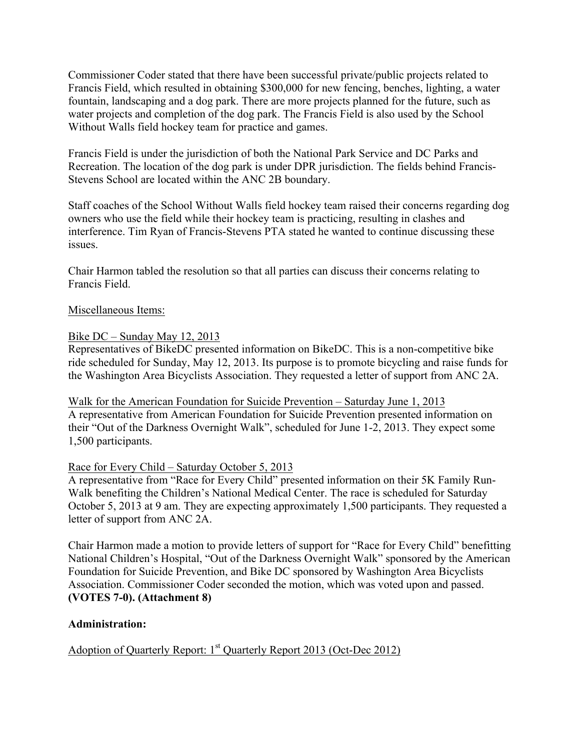Commissioner Coder stated that there have been successful private/public projects related to Francis Field, which resulted in obtaining \$300,000 for new fencing, benches, lighting, a water fountain, landscaping and a dog park. There are more projects planned for the future, such as water projects and completion of the dog park. The Francis Field is also used by the School Without Walls field hockey team for practice and games.

Francis Field is under the jurisdiction of both the National Park Service and DC Parks and Recreation. The location of the dog park is under DPR jurisdiction. The fields behind Francis-Stevens School are located within the ANC 2B boundary.

Staff coaches of the School Without Walls field hockey team raised their concerns regarding dog owners who use the field while their hockey team is practicing, resulting in clashes and interference. Tim Ryan of Francis-Stevens PTA stated he wanted to continue discussing these issues.

Chair Harmon tabled the resolution so that all parties can discuss their concerns relating to Francis Field.

## Miscellaneous Items:

## Bike DC – Sunday May 12, 2013

Representatives of BikeDC presented information on BikeDC. This is a non-competitive bike ride scheduled for Sunday, May 12, 2013. Its purpose is to promote bicycling and raise funds for the Washington Area Bicyclists Association. They requested a letter of support from ANC 2A.

Walk for the American Foundation for Suicide Prevention – Saturday June 1, 2013 A representative from American Foundation for Suicide Prevention presented information on their "Out of the Darkness Overnight Walk", scheduled for June 1-2, 2013. They expect some 1,500 participants.

#### Race for Every Child – Saturday October 5, 2013

A representative from "Race for Every Child" presented information on their 5K Family Run-Walk benefiting the Children's National Medical Center. The race is scheduled for Saturday October 5, 2013 at 9 am. They are expecting approximately 1,500 participants. They requested a letter of support from ANC 2A.

Chair Harmon made a motion to provide letters of support for "Race for Every Child" benefitting National Children's Hospital, "Out of the Darkness Overnight Walk" sponsored by the American Foundation for Suicide Prevention, and Bike DC sponsored by Washington Area Bicyclists Association. Commissioner Coder seconded the motion, which was voted upon and passed. **(VOTES 7-0). (Attachment 8)**

#### **Administration:**

Adoption of Quarterly Report: 1<sup>st</sup> Quarterly Report 2013 (Oct-Dec 2012)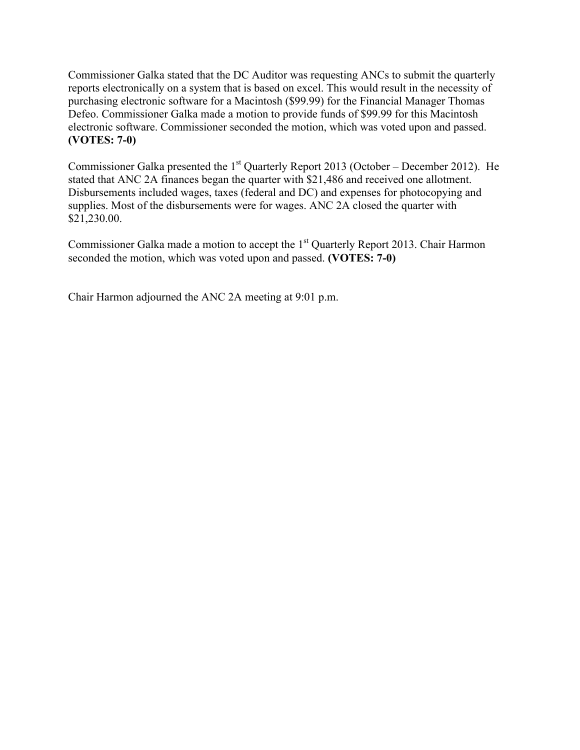Commissioner Galka stated that the DC Auditor was requesting ANCs to submit the quarterly reports electronically on a system that is based on excel. This would result in the necessity of purchasing electronic software for a Macintosh (\$99.99) for the Financial Manager Thomas Defeo. Commissioner Galka made a motion to provide funds of \$99.99 for this Macintosh electronic software. Commissioner seconded the motion, which was voted upon and passed. **(VOTES: 7-0)** 

Commissioner Galka presented the  $1<sup>st</sup>$  Quarterly Report 2013 (October – December 2012). He stated that ANC 2A finances began the quarter with \$21,486 and received one allotment. Disbursements included wages, taxes (federal and DC) and expenses for photocopying and supplies. Most of the disbursements were for wages. ANC 2A closed the quarter with \$21,230.00.

Commissioner Galka made a motion to accept the 1<sup>st</sup> Quarterly Report 2013. Chair Harmon seconded the motion, which was voted upon and passed. **(VOTES: 7-0)**

Chair Harmon adjourned the ANC 2A meeting at 9:01 p.m.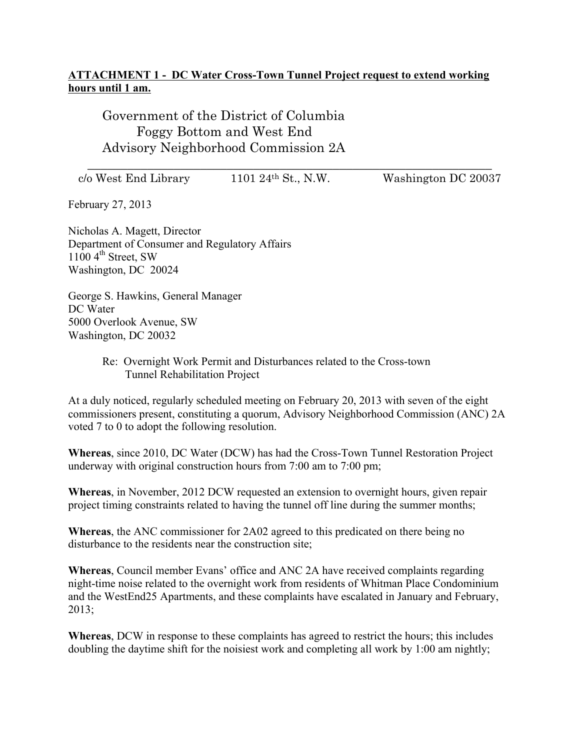# **ATTACHMENT 1 - DC Water Cross-Town Tunnel Project request to extend working hours until 1 am.**

Government of the District of Columbia Foggy Bottom and West End Advisory Neighborhood Commission 2A

c/o West End Library 1101 24th St., N.W. Washington DC 20037

\_\_\_\_\_\_\_\_\_\_\_\_\_\_\_\_\_\_\_\_\_\_\_\_\_\_\_\_\_\_\_\_\_\_\_\_\_\_\_\_\_\_\_\_\_\_\_\_\_\_\_\_\_\_\_\_\_\_\_\_\_

February 27, 2013

Nicholas A. Magett, Director Department of Consumer and Regulatory Affairs  $1100 \, 4^{\text{th}}$  Street, SW Washington, DC 20024

George S. Hawkins, General Manager DC Water 5000 Overlook Avenue, SW Washington, DC 20032

### Re: Overnight Work Permit and Disturbances related to the Cross-town Tunnel Rehabilitation Project

At a duly noticed, regularly scheduled meeting on February 20, 2013 with seven of the eight commissioners present, constituting a quorum, Advisory Neighborhood Commission (ANC) 2A voted 7 to 0 to adopt the following resolution.

**Whereas**, since 2010, DC Water (DCW) has had the Cross-Town Tunnel Restoration Project underway with original construction hours from 7:00 am to 7:00 pm;

**Whereas**, in November, 2012 DCW requested an extension to overnight hours, given repair project timing constraints related to having the tunnel off line during the summer months;

**Whereas**, the ANC commissioner for 2A02 agreed to this predicated on there being no disturbance to the residents near the construction site;

**Whereas**, Council member Evans' office and ANC 2A have received complaints regarding night-time noise related to the overnight work from residents of Whitman Place Condominium and the WestEnd25 Apartments, and these complaints have escalated in January and February, 2013;

**Whereas**, DCW in response to these complaints has agreed to restrict the hours; this includes doubling the daytime shift for the noisiest work and completing all work by 1:00 am nightly;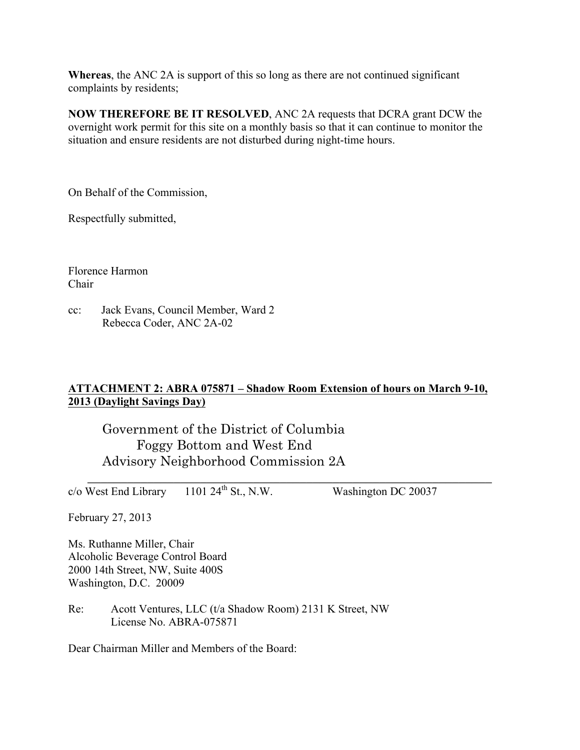**Whereas**, the ANC 2A is support of this so long as there are not continued significant complaints by residents;

**NOW THEREFORE BE IT RESOLVED**, ANC 2A requests that DCRA grant DCW the overnight work permit for this site on a monthly basis so that it can continue to monitor the situation and ensure residents are not disturbed during night-time hours.

On Behalf of the Commission,

Respectfully submitted,

Florence Harmon Chair

cc: Jack Evans, Council Member, Ward 2 Rebecca Coder, ANC 2A-02

# **ATTACHMENT 2: ABRA 075871 – Shadow Room Extension of hours on March 9-10, 2013 (Daylight Savings Day)**

Government of the District of Columbia Foggy Bottom and West End Advisory Neighborhood Commission 2A

\_\_\_\_\_\_\_\_\_\_\_\_\_\_\_\_\_\_\_\_\_\_\_\_\_\_\_\_\_\_\_\_\_\_\_\_\_\_\_\_\_\_\_\_\_\_\_\_\_\_\_\_\_\_\_\_\_\_\_\_\_  $c/\sigma$  West End Library 1101 24<sup>th</sup> St., N.W. Washington DC 20037

February 27, 2013

Ms. Ruthanne Miller, Chair Alcoholic Beverage Control Board 2000 14th Street, NW, Suite 400S Washington, D.C. 20009

Re: Acott Ventures, LLC (t/a Shadow Room) 2131 K Street, NW License No. ABRA-075871

Dear Chairman Miller and Members of the Board: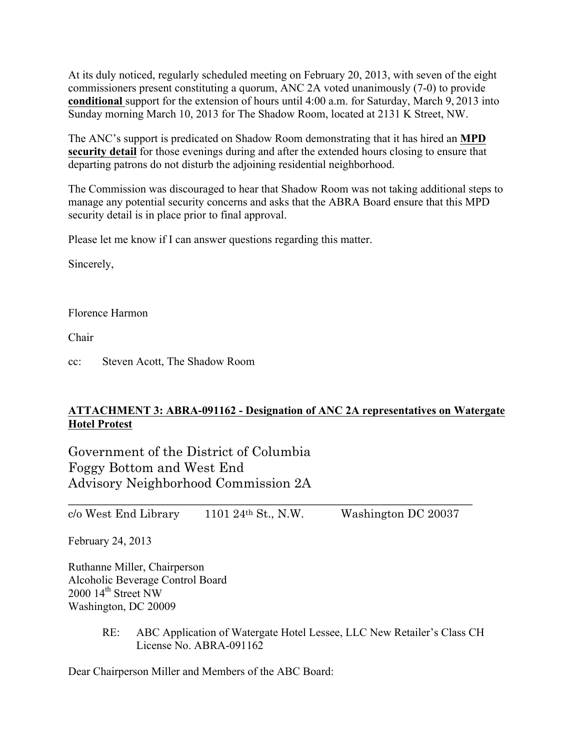At its duly noticed, regularly scheduled meeting on February 20, 2013, with seven of the eight commissioners present constituting a quorum, ANC 2A voted unanimously (7-0) to provide **conditional** support for the extension of hours until 4:00 a.m. for Saturday, March 9, 2013 into Sunday morning March 10, 2013 for The Shadow Room, located at 2131 K Street, NW.

The ANC's support is predicated on Shadow Room demonstrating that it has hired an **MPD security detail** for those evenings during and after the extended hours closing to ensure that departing patrons do not disturb the adjoining residential neighborhood.

The Commission was discouraged to hear that Shadow Room was not taking additional steps to manage any potential security concerns and asks that the ABRA Board ensure that this MPD security detail is in place prior to final approval.

Please let me know if I can answer questions regarding this matter.

Sincerely,

Florence Harmon

Chair

cc: Steven Acott, The Shadow Room

# **ATTACHMENT 3: ABRA-091162 - Designation of ANC 2A representatives on Watergate Hotel Protest**

\_\_\_\_\_\_\_\_\_\_\_\_\_\_\_\_\_\_\_\_\_\_\_\_\_\_\_\_\_\_\_\_\_\_\_\_\_\_\_\_\_\_\_\_\_\_\_\_\_\_\_\_\_\_\_\_\_\_\_\_\_

Government of the District of Columbia Foggy Bottom and West End Advisory Neighborhood Commission 2A

 $c/\text{o West End Library}$  1101 24<sup>th</sup> St., N.W. Washington DC 20037

February 24, 2013

Ruthanne Miller, Chairperson Alcoholic Beverage Control Board 2000 14<sup>th</sup> Street NW Washington, DC 20009

> RE: ABC Application of Watergate Hotel Lessee, LLC New Retailer's Class CH License No. ABRA-091162

Dear Chairperson Miller and Members of the ABC Board: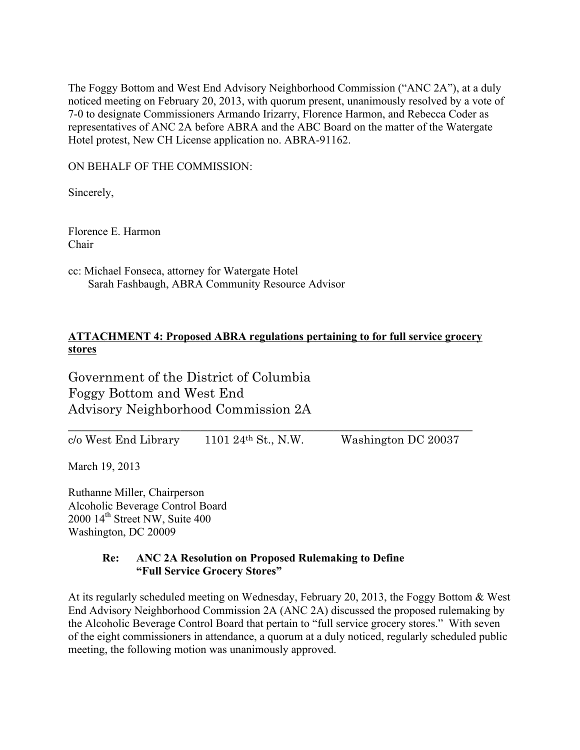The Foggy Bottom and West End Advisory Neighborhood Commission ("ANC 2A"), at a duly noticed meeting on February 20, 2013, with quorum present, unanimously resolved by a vote of 7-0 to designate Commissioners Armando Irizarry, Florence Harmon, and Rebecca Coder as representatives of ANC 2A before ABRA and the ABC Board on the matter of the Watergate Hotel protest, New CH License application no. ABRA-91162.

ON BEHALF OF THE COMMISSION:

Sincerely,

Florence E. Harmon Chair

cc: Michael Fonseca, attorney for Watergate Hotel Sarah Fashbaugh, ABRA Community Resource Advisor

# **ATTACHMENT 4: Proposed ABRA regulations pertaining to for full service grocery stores**

\_\_\_\_\_\_\_\_\_\_\_\_\_\_\_\_\_\_\_\_\_\_\_\_\_\_\_\_\_\_\_\_\_\_\_\_\_\_\_\_\_\_\_\_\_\_\_\_\_\_\_\_\_\_\_\_\_\_\_\_\_

Government of the District of Columbia Foggy Bottom and West End Advisory Neighborhood Commission 2A

c/o West End Library 1101 24th St., N.W. Washington DC 20037

March 19, 2013

Ruthanne Miller, Chairperson Alcoholic Beverage Control Board 2000 14th Street NW, Suite 400 Washington, DC 20009

## **Re: ANC 2A Resolution on Proposed Rulemaking to Define "Full Service Grocery Stores"**

At its regularly scheduled meeting on Wednesday, February 20, 2013, the Foggy Bottom & West End Advisory Neighborhood Commission 2A (ANC 2A) discussed the proposed rulemaking by the Alcoholic Beverage Control Board that pertain to "full service grocery stores." With seven of the eight commissioners in attendance, a quorum at a duly noticed, regularly scheduled public meeting, the following motion was unanimously approved.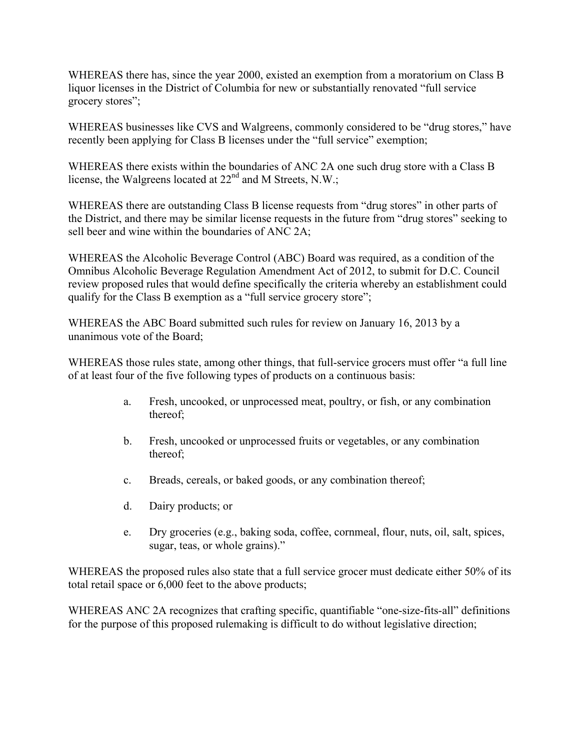WHEREAS there has, since the year 2000, existed an exemption from a moratorium on Class B liquor licenses in the District of Columbia for new or substantially renovated "full service grocery stores";

WHEREAS businesses like CVS and Walgreens, commonly considered to be "drug stores," have recently been applying for Class B licenses under the "full service" exemption;

WHEREAS there exists within the boundaries of ANC 2A one such drug store with a Class B license, the Walgreens located at 22<sup>nd</sup> and M Streets, N.W.;

WHEREAS there are outstanding Class B license requests from "drug stores" in other parts of the District, and there may be similar license requests in the future from "drug stores" seeking to sell beer and wine within the boundaries of ANC 2A;

WHEREAS the Alcoholic Beverage Control (ABC) Board was required, as a condition of the Omnibus Alcoholic Beverage Regulation Amendment Act of 2012, to submit for D.C. Council review proposed rules that would define specifically the criteria whereby an establishment could qualify for the Class B exemption as a "full service grocery store";

WHEREAS the ABC Board submitted such rules for review on January 16, 2013 by a unanimous vote of the Board;

WHEREAS those rules state, among other things, that full-service grocers must offer "a full line of at least four of the five following types of products on a continuous basis:

- a. Fresh, uncooked, or unprocessed meat, poultry, or fish, or any combination thereof;
- b. Fresh, uncooked or unprocessed fruits or vegetables, or any combination thereof;
- c. Breads, cereals, or baked goods, or any combination thereof;
- d. Dairy products; or
- e. Dry groceries (e.g., baking soda, coffee, cornmeal, flour, nuts, oil, salt, spices, sugar, teas, or whole grains)."

WHEREAS the proposed rules also state that a full service grocer must dedicate either 50% of its total retail space or 6,000 feet to the above products;

WHEREAS ANC 2A recognizes that crafting specific, quantifiable "one-size-fits-all" definitions for the purpose of this proposed rulemaking is difficult to do without legislative direction;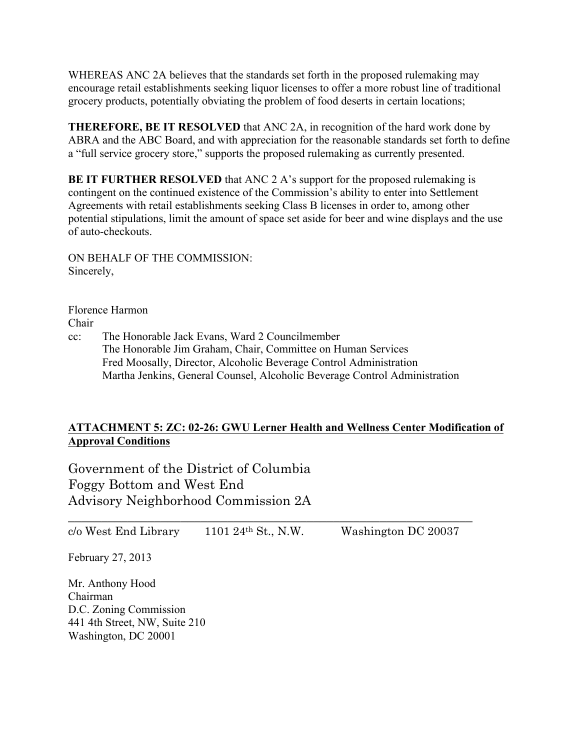WHEREAS ANC 2A believes that the standards set forth in the proposed rulemaking may encourage retail establishments seeking liquor licenses to offer a more robust line of traditional grocery products, potentially obviating the problem of food deserts in certain locations;

**THEREFORE, BE IT RESOLVED** that ANC 2A, in recognition of the hard work done by ABRA and the ABC Board, and with appreciation for the reasonable standards set forth to define a "full service grocery store," supports the proposed rulemaking as currently presented.

**BE IT FURTHER RESOLVED** that ANC 2 A's support for the proposed rulemaking is contingent on the continued existence of the Commission's ability to enter into Settlement Agreements with retail establishments seeking Class B licenses in order to, among other potential stipulations, limit the amount of space set aside for beer and wine displays and the use of auto-checkouts.

ON BEHALF OF THE COMMISSION: Sincerely,

Florence Harmon Chair

cc: The Honorable Jack Evans, Ward 2 Councilmember The Honorable Jim Graham, Chair, Committee on Human Services Fred Moosally, Director, Alcoholic Beverage Control Administration Martha Jenkins, General Counsel, Alcoholic Beverage Control Administration

# **ATTACHMENT 5: ZC: 02-26: GWU Lerner Health and Wellness Center Modification of Approval Conditions**

Government of the District of Columbia Foggy Bottom and West End Advisory Neighborhood Commission 2A

\_\_\_\_\_\_\_\_\_\_\_\_\_\_\_\_\_\_\_\_\_\_\_\_\_\_\_\_\_\_\_\_\_\_\_\_\_\_\_\_\_\_\_\_\_\_\_\_\_\_\_\_\_\_\_\_\_\_\_\_\_  $c$ /o West End Library 1101 24<sup>th</sup> St., N.W. Washington DC 20037

February 27, 2013

Mr. Anthony Hood Chairman D.C. Zoning Commission 441 4th Street, NW, Suite 210 Washington, DC 20001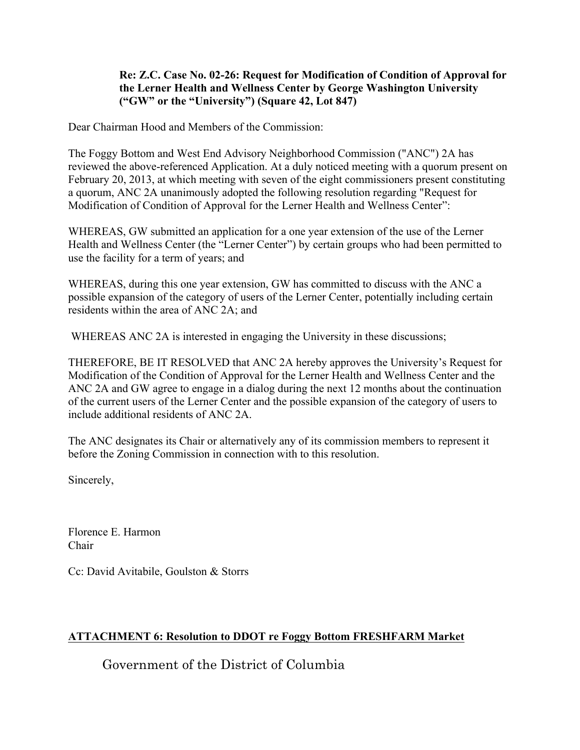## **Re: Z.C. Case No. 02-26: Request for Modification of Condition of Approval for the Lerner Health and Wellness Center by George Washington University ("GW" or the "University") (Square 42, Lot 847)**

Dear Chairman Hood and Members of the Commission:

The Foggy Bottom and West End Advisory Neighborhood Commission ("ANC") 2A has reviewed the above-referenced Application. At a duly noticed meeting with a quorum present on February 20, 2013, at which meeting with seven of the eight commissioners present constituting a quorum, ANC 2A unanimously adopted the following resolution regarding "Request for Modification of Condition of Approval for the Lerner Health and Wellness Center":

WHEREAS, GW submitted an application for a one year extension of the use of the Lerner Health and Wellness Center (the "Lerner Center") by certain groups who had been permitted to use the facility for a term of years; and

WHEREAS, during this one year extension, GW has committed to discuss with the ANC a possible expansion of the category of users of the Lerner Center, potentially including certain residents within the area of ANC 2A; and

WHEREAS ANC 2A is interested in engaging the University in these discussions;

THEREFORE, BE IT RESOLVED that ANC 2A hereby approves the University's Request for Modification of the Condition of Approval for the Lerner Health and Wellness Center and the ANC 2A and GW agree to engage in a dialog during the next 12 months about the continuation of the current users of the Lerner Center and the possible expansion of the category of users to include additional residents of ANC 2A.

The ANC designates its Chair or alternatively any of its commission members to represent it before the Zoning Commission in connection with to this resolution.

Sincerely,

Florence E. Harmon Chair

Cc: David Avitabile, Goulston & Storrs

# **ATTACHMENT 6: Resolution to DDOT re Foggy Bottom FRESHFARM Market**

Government of the District of Columbia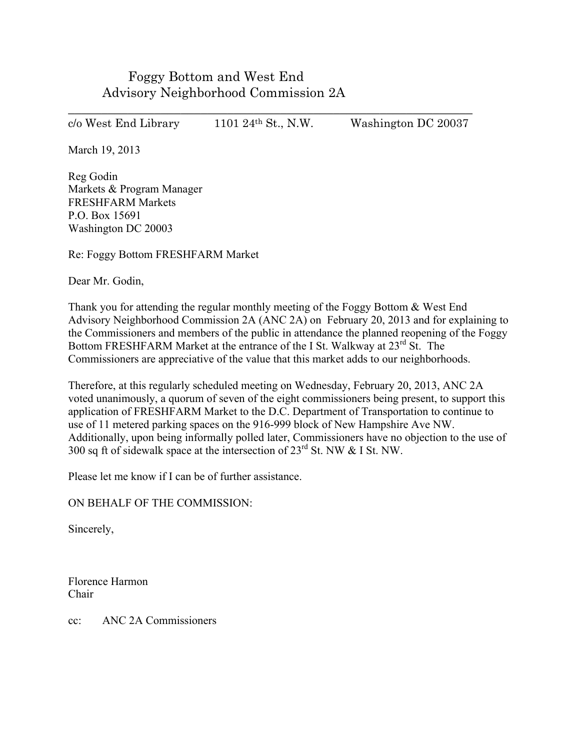Foggy Bottom and West End Advisory Neighborhood Commission 2A

\_\_\_\_\_\_\_\_\_\_\_\_\_\_\_\_\_\_\_\_\_\_\_\_\_\_\_\_\_\_\_\_\_\_\_\_\_\_\_\_\_\_\_\_\_\_\_\_\_\_\_\_\_\_\_\_\_\_\_\_\_ c/o West End Library 1101 24th St., N.W. Washington DC 20037

March 19, 2013

Reg Godin Markets & Program Manager FRESHFARM Markets P.O. Box 15691 Washington DC 20003

Re: Foggy Bottom FRESHFARM Market

Dear Mr. Godin,

Thank you for attending the regular monthly meeting of the Foggy Bottom & West End Advisory Neighborhood Commission 2A (ANC 2A) on February 20, 2013 and for explaining to the Commissioners and members of the public in attendance the planned reopening of the Foggy Bottom FRESHFARM Market at the entrance of the I St. Walkway at 23<sup>rd</sup> St. The Commissioners are appreciative of the value that this market adds to our neighborhoods.

Therefore, at this regularly scheduled meeting on Wednesday, February 20, 2013, ANC 2A voted unanimously, a quorum of seven of the eight commissioners being present, to support this application of FRESHFARM Market to the D.C. Department of Transportation to continue to use of 11 metered parking spaces on the 916-999 block of New Hampshire Ave NW. Additionally, upon being informally polled later, Commissioners have no objection to the use of 300 sq ft of sidewalk space at the intersection of  $23<sup>rd</sup>$  St. NW & I St. NW.

Please let me know if I can be of further assistance.

ON BEHALF OF THE COMMISSION:

Sincerely,

Florence Harmon Chair

cc: ANC 2A Commissioners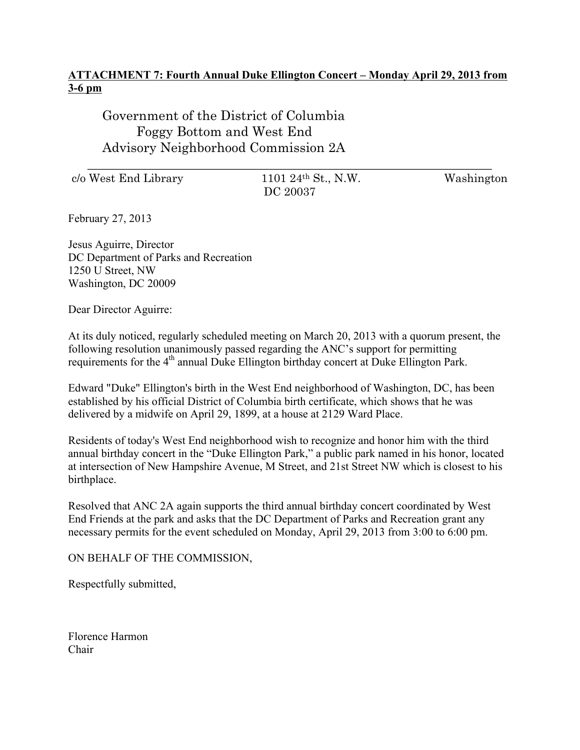# **ATTACHMENT 7: Fourth Annual Duke Ellington Concert – Monday April 29, 2013 from 3-6 pm**

\_\_\_\_\_\_\_\_\_\_\_\_\_\_\_\_\_\_\_\_\_\_\_\_\_\_\_\_\_\_\_\_\_\_\_\_\_\_\_\_\_\_\_\_\_\_\_\_\_\_\_\_\_\_\_\_\_\_\_\_\_

Government of the District of Columbia Foggy Bottom and West End Advisory Neighborhood Commission 2A

 $c/\text{o West End Library}$  1101 24<sup>th</sup> St., N.W. Washington

DC 20037

February 27, 2013

Jesus Aguirre, Director DC Department of Parks and Recreation 1250 U Street, NW Washington, DC 20009

Dear Director Aguirre:

At its duly noticed, regularly scheduled meeting on March 20, 2013 with a quorum present, the following resolution unanimously passed regarding the ANC's support for permitting requirements for the 4<sup>th</sup> annual Duke Ellington birthday concert at Duke Ellington Park.

Edward "Duke" Ellington's birth in the West End neighborhood of Washington, DC, has been established by his official District of Columbia birth certificate, which shows that he was delivered by a midwife on April 29, 1899, at a house at 2129 Ward Place.

Residents of today's West End neighborhood wish to recognize and honor him with the third annual birthday concert in the "Duke Ellington Park," a public park named in his honor, located at intersection of New Hampshire Avenue, M Street, and 21st Street NW which is closest to his birthplace.

Resolved that ANC 2A again supports the third annual birthday concert coordinated by West End Friends at the park and asks that the DC Department of Parks and Recreation grant any necessary permits for the event scheduled on Monday, April 29, 2013 from 3:00 to 6:00 pm.

ON BEHALF OF THE COMMISSION,

Respectfully submitted,

Florence Harmon Chair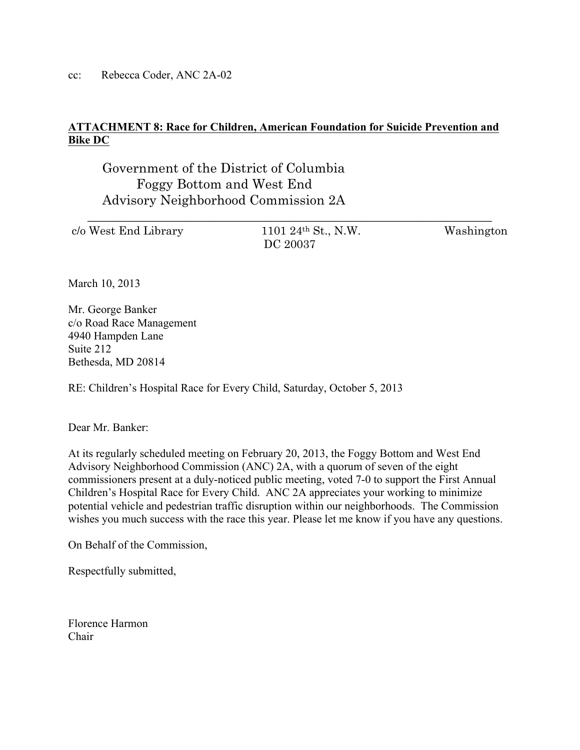cc: Rebecca Coder, ANC 2A-02

# **ATTACHMENT 8: Race for Children, American Foundation for Suicide Prevention and Bike DC**

Government of the District of Columbia Foggy Bottom and West End Advisory Neighborhood Commission 2A

| c/o West End Library | 1101 24 <sup>th</sup> St., N.W. | Washington |
|----------------------|---------------------------------|------------|
|                      | DC 20037                        |            |

March 10, 2013

Mr. George Banker c/o Road Race Management 4940 Hampden Lane Suite 212 Bethesda, MD 20814

RE: Children's Hospital Race for Every Child, Saturday, October 5, 2013

Dear Mr. Banker:

At its regularly scheduled meeting on February 20, 2013, the Foggy Bottom and West End Advisory Neighborhood Commission (ANC) 2A, with a quorum of seven of the eight commissioners present at a duly-noticed public meeting, voted 7-0 to support the First Annual Children's Hospital Race for Every Child. ANC 2A appreciates your working to minimize potential vehicle and pedestrian traffic disruption within our neighborhoods. The Commission wishes you much success with the race this year. Please let me know if you have any questions.

On Behalf of the Commission,

Respectfully submitted,

Florence Harmon Chair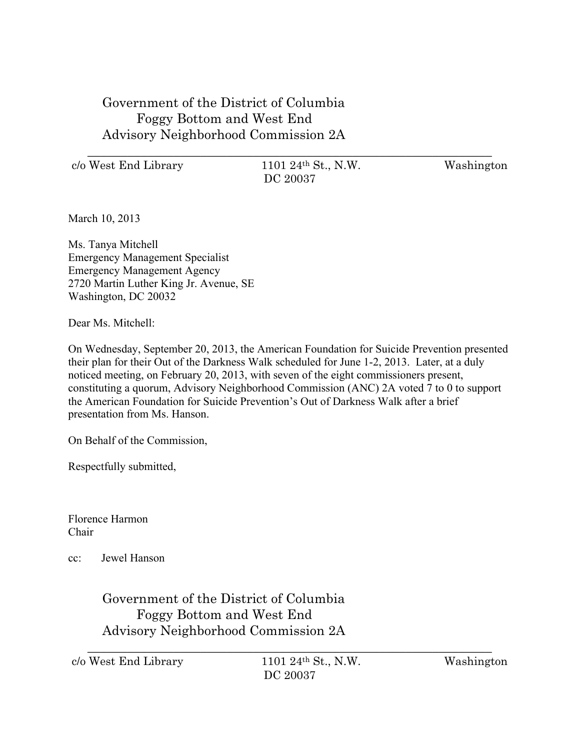Government of the District of Columbia Foggy Bottom and West End Advisory Neighborhood Commission 2A

c/o West End Library 1101 24th St., N.W. Washington

\_\_\_\_\_\_\_\_\_\_\_\_\_\_\_\_\_\_\_\_\_\_\_\_\_\_\_\_\_\_\_\_\_\_\_\_\_\_\_\_\_\_\_\_\_\_\_\_\_\_\_\_\_\_\_\_\_\_\_\_\_ DC 20037

March 10, 2013

Ms. Tanya Mitchell Emergency Management Specialist Emergency Management Agency 2720 Martin Luther King Jr. Avenue, SE Washington, DC 20032

Dear Ms. Mitchell<sup>.</sup>

On Wednesday, September 20, 2013, the American Foundation for Suicide Prevention presented their plan for their Out of the Darkness Walk scheduled for June 1-2, 2013. Later, at a duly noticed meeting, on February 20, 2013, with seven of the eight commissioners present, constituting a quorum, Advisory Neighborhood Commission (ANC) 2A voted 7 to 0 to support the American Foundation for Suicide Prevention's Out of Darkness Walk after a brief presentation from Ms. Hanson.

On Behalf of the Commission,

Respectfully submitted,

Florence Harmon Chair

cc: Jewel Hanson

Government of the District of Columbia Foggy Bottom and West End Advisory Neighborhood Commission 2A

 $c/\sigma$  West End Library 1101 24<sup>th</sup> St., N.W. Washington DC 20037

\_\_\_\_\_\_\_\_\_\_\_\_\_\_\_\_\_\_\_\_\_\_\_\_\_\_\_\_\_\_\_\_\_\_\_\_\_\_\_\_\_\_\_\_\_\_\_\_\_\_\_\_\_\_\_\_\_\_\_\_\_